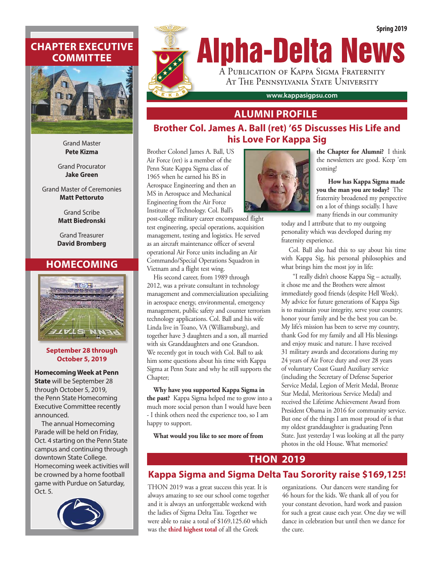# **CHAPTER EXECUTIVE COMMITTEE**



Grand Master **Pete Kizma**

Grand Procurator **Jake Green**

Grand Master of Ceremonies **Matt Pettoruto**

> Grand Scribe **Matt Biedronski**

Grand Treasurer **David Bromberg**

## **HOMECOMING**



**September 28 through October 5, 2019**

**Homecoming Week at Penn State** will be September 28 through October 5, 2019, the Penn State Homecoming Executive Committee recently announced.

The annual Homecoming Parade will be held on Friday, Oct. 4 starting on the Penn State campus and continuing through downtown State College. Homecoming week activities will be crowned by a home football game with Purdue on Saturday, Oct. 5.





## **ALUMNI PROFILE**

## **Brother Col. James A. Ball (ret) '65 Discusses His Life and his Love For Kappa Sig**

Brother Colonel James A. Ball, US Air Force (ret) is a member of the Penn State Kappa Sigma class of 1965 when he earned his BS in Aerospace Engineering and then an MS in Aerospace and Mechanical Engineering from the Air Force Institute of Technology. Col. Ball's

post-college military career encompassed flight test engineering, special operations, acquisition management, testing and logistics. He served as an aircraft maintenance officer of several operational Air Force units including an Air Commando/Special Operations Squadron in Vietnam and a flight test wing.

His second career, from 1989 through 2012, was a private consultant in technology management and commercialization specializing in aerospace energy, environmental, emergency management, public safety and counter terrorism technology applications. Col. Ball and his wife Linda live in Toano, VA (Williamsburg), and together have 3 daughters and a son, all married with six Granddaughters and one Grandson. We recently got in touch with Col. Ball to ask him some questions about his time with Kappa Sigma at Penn State and why he still supports the Chapter;

**Why have you supported Kappa Sigma in the past?** Kappa Sigma helped me to grow into a much more social person than I would have been - I think others need the experience too, so I am happy to support.

**What would you like to see more of from** 



**the Chapter for Alumni?** I think the newsletters are good. Keep 'em coming!

**How has Kappa Sigma made you the man you are today?** The fraternity broadened my perspective on a lot of things socially. I have many friends in our community

today and I attribute that to my outgoing personality which was developed during my fraternity experience.

Col. Ball also had this to say about his time with Kappa Sig, his personal philosophies and what brings him the most joy in life:

"I really didn't choose Kappa Sig – actually, it chose me and the Brothers were almost immediately good friends (despite Hell Week). My advice for future generations of Kappa Sigs is to maintain your integrity, serve your country, honor your family and be the best you can be. My life's mission has been to serve my country, thank God for my family and all His blessings and enjoy music and nature. I have received 31 military awards and decorations during my 24 years of Air Force duty and over 28 years of voluntary Coast Guard Auxiliary service (including the Secretary of Defense Superior Service Medal, Legion of Merit Medal, Bronze Star Medal, Meritorious Service Medal) and received the Lifetime Achievement Award from President Obama in 2016 for community service. But one of the things I am most proud of is that my oldest granddaughter is graduating Penn State. Just yesterday I was looking at all the party photos in the old House. What memories!

## **THON 2019**

# **Kappa Sigma and Sigma Delta Tau Sorority raise \$169,125!**

THON 2019 was a great success this year. It is always amazing to see our school come together and it is always an unforgettable weekend with the ladies of Sigma Delta Tau. Together we were able to raise a total of \$169,125.60 which was the **third highest total** of all the Greek

organizations. Our dancers were standing for 46 hours for the kids. We thank all of you for your constant devotion, hard work and passion for such a great cause each year. One day we will dance in celebration but until then we dance for the cure.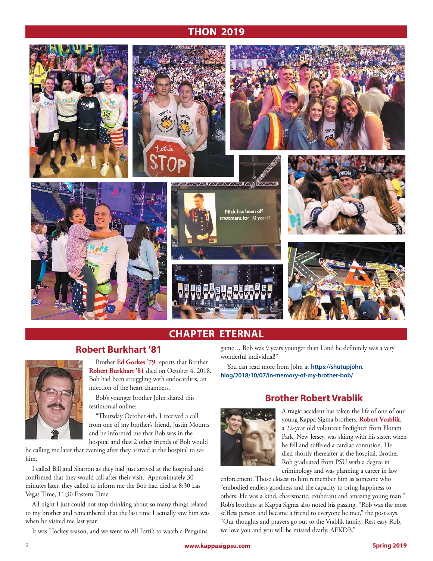## **THON 2019**



# **CHAPTER ETERNAL**

## **Robert Burkhart '81**



Brother **Ed Gorkes '79** reports that Brother **Robert Burkhart '81** died on October 4, 2018. Bob had been struggling with endocarditis, an infection of the heart chambers.

Bob's younger brother John shared this testimonial online:

"Thursday October 4th, I received a call from one of my brother's friend, Justin Mounts and he informed me that Bob was in the hospital and that 2 other friends of Bob would

be calling me later that evening after they arrived at the hospital to see him.

I called Bill and Sharron as they had just arrived at the hospital and confirmed that they would call after their visit. Approximately 30 minutes later, they called to inform me the Bob had died at 8:30 Las Vegas Time, 11:30 Eastern Time.

All night I just could not stop thinking about so many things related to my brother and remembered that the last time I actually saw him was when he visited me last year.

It was Hockey season, and we went to All Patti's to watch a Penguins

game… Bob was 9 years younger than I and he definitely was a very wonderful individual!"

You can read more from John at **https://shutupjohn. blog/2018/10/07/in-memory-of-my-brother-bob/**

## **Brother Robert Vrablik**



A tragic accident has taken the life of one of our young Kappa Sigma brothers. **Robert Vrablik**, a 22-year old volunteer firefighter from Floram Park, New Jersey, was skiing with his sister, when he fell and suffered a cardiac contusion. He died shortly thereafter at the hospital. Brother Rob graduated from PSU with a degree in criminology and was planning a career in law

enforcement. Those closest to him remember him as someone who "embodied endless goodness and the capacity to bring happiness to others. He was a kind, charismatic, exuberant and amazing young man." Rob's brothers at Kappa Sigma also noted his passing, "Rob was the most selfless person and became a friend to everyone he met," the post says. "Our thoughts and prayers go out to the Vrablik family. Rest easy Rob, we love you and you will be missed dearly. AEKDB."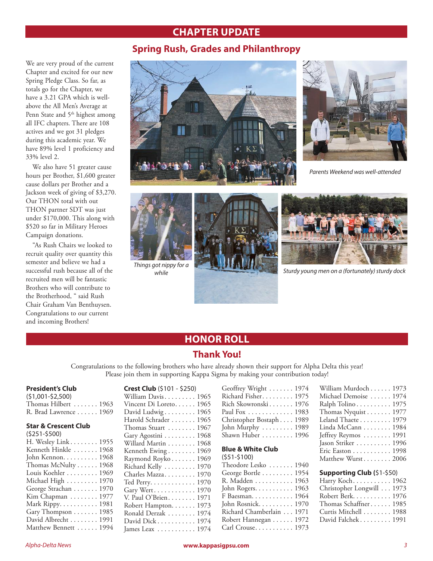## **CHAPTER UPDATE**

## **Spring Rush, Grades and Philanthropy**

We are very proud of the current Chapter and excited for our new Spring Pledge Class. So far, as totals go for the Chapter, we have a 3.21 GPA which is wellabove the All Men's Average at Penn State and 5<sup>th</sup> highest among all IFC chapters. There are 108 actives and we got 31 pledges during this academic year. We have 89% level 1 proficiency and 33% level 2.

We also have 51 greater cause hours per Brother, \$1,600 greater cause dollars per Brother and a Jackson week of giving of \$3,270. Our THON total with out THON partner SDT was just under \$170,000. This along with \$520 so far in Military Heroes Campaign donations.

"As Rush Chairs we looked to recruit quality over quantity this semester and believe we had a successful rush because all of the recruited men will be fantastic Brothers who will contribute to the Brotherhood, " said Rush Chair Graham Van Benthuysen. Congratulations to our current and incoming Brothers!





*Parents Weekend was well-attended*



*Things got nippy for a* 





*while Sturdy young men on a (fortunately) sturdy dock*

## **HONOR ROLL**

### **Thank You!**

Congratulations to the following brothers who have already shown their support for Alpha Delta this year! Please join them in supporting Kappa Sigma by making your contribution today!

#### **President's Club**

(\$1,001-\$2,500) Thomas Hilbert ....... 1963 R. Brad Lawrence . . . . . . 1969

#### **Star & Crescent Club**

| $(5251 - 5500)$       |  |
|-----------------------|--|
| H. Wesley Link 1955   |  |
| Kenneth Hinkle  1968  |  |
| John Kennon. 1968     |  |
| Thomas McNulty 1968   |  |
| Louis Koehler 1969    |  |
| Michael High  1970    |  |
| George Strachan 1970  |  |
| Kim Chapman 1977      |  |
| Mark Rippy. 1981      |  |
| Gary Thompson 1985    |  |
| David Albrecht 1991   |  |
| Matthew Bennett  1994 |  |
|                       |  |

**Crest Club** (\$101 - \$250) William Davis . . . . . . . . 1965 Vincent Di Loreto...... 1965 David Ludwig  $\ldots \ldots \ldots 1965$ Harold Schrader . . . . . . . 1965 Thomas Stuart ....... 1967 Gary Agostini . . . . . . . . . 1968 Willard Martin . . . . . . . . 1968 Kenneth Ewing . . . . . . . . 1969 Raymond Royko . . . . . . . 1969 Richard Kelly ........ 1970 Charles Mazza........ 1970 Ted Perry............ 1970 Gary Wert........... 1970 V. Paul O'Brien. . . . . . . . 1971 Robert Hampton. . . . . . . 1973 Ronald Derzak . . . . . . . . 1974 David Dick . . . . . . . . . . 1974 James Leax . . . . . . . . . . 1974

| Geoffrey Wright  1974                   |  |
|-----------------------------------------|--|
| Richard Fisher 1975                     |  |
| Rich Skowronski 1976                    |  |
| Paul Fox  1983                          |  |
| Christopher Bostaph 1989                |  |
| John Murphy $\ldots \ldots \ldots$ 1989 |  |
| Shawn Huber $\ldots \ldots \ldots 1996$ |  |
|                                         |  |

### **Blue & White Club**

| William Murdoch 1973  |
|-----------------------|
| Michael Demoise  1974 |
| Ralph Tolino 1975     |
| Thomas Nyquist 1977   |
| Leland Thaete 1979    |
| Linda McCann 1984     |
| Jeffrey Reymos  1991  |
| Jason Striker 1996    |
| Eric Easton 1998      |
| Matthew Wurst 2006    |
|                       |

### **Supporting Club (**\$1-\$50)

| Harry Koch 1962           |
|---------------------------|
| Christopher Longwill 1973 |
| Robert Berk. 1976         |
| Thomas Schaffner 1985     |
| Curtis Mitchell 1988      |
| David Falchek $1991$      |
|                           |